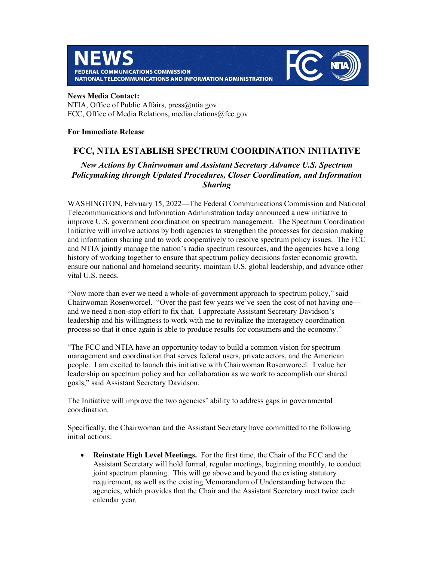



## **News Media Contact:**

NTIA, Office of Public Affairs, press@ntia.gov FCC, Office of Media Relations, mediarelations@fcc.gov

## **For Immediate Release**

## **FCC, NTIA ESTABLISH SPECTRUM COORDINATION INITIATIVE**

## *New Actions by Chairwoman and Assistant Secretary Advance U.S. Spectrum Policymaking through Updated Procedures, Closer Coordination, and Information Sharing*

WASHINGTON, February 15, 2022—The Federal Communications Commission and National Telecommunications and Information Administration today announced a new initiative to improve U.S. government coordination on spectrum management. The Spectrum Coordination Initiative will involve actions by both agencies to strengthen the processes for decision making and information sharing and to work cooperatively to resolve spectrum policy issues. The FCC and NTIA jointly manage the nation's radio spectrum resources, and the agencies have a long history of working together to ensure that spectrum policy decisions foster economic growth, ensure our national and homeland security, maintain U.S. global leadership, and advance other vital U.S. needs.

"Now more than ever we need a whole-of-government approach to spectrum policy," said Chairwoman Rosenworcel. "Over the past few years we've seen the cost of not having one and we need a non-stop effort to fix that. I appreciate Assistant Secretary Davidson's leadership and his willingness to work with me to revitalize the interagency coordination process so that it once again is able to produce results for consumers and the economy."

"The FCC and NTIA have an opportunity today to build a common vision for spectrum management and coordination that serves federal users, private actors, and the American people. I am excited to launch this initiative with Chairwoman Rosenworcel. I value her leadership on spectrum policy and her collaboration as we work to accomplish our shared goals," said Assistant Secretary Davidson.

The Initiative will improve the two agencies' ability to address gaps in governmental coordination.

Specifically, the Chairwoman and the Assistant Secretary have committed to the following initial actions:

 **Reinstate High Level Meetings.** For the first time, the Chair of the FCC and the Assistant Secretary will hold formal, regular meetings, beginning monthly, to conduct joint spectrum planning. This will go above and beyond the existing statutory requirement, as well as the existing Memorandum of Understanding between the agencies, which provides that the Chair and the Assistant Secretary meet twice each calendar year.